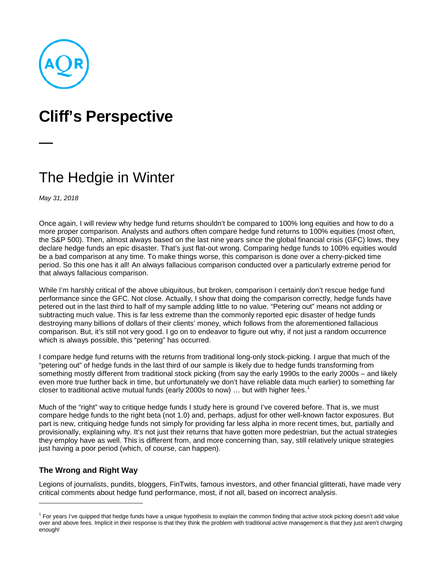

# **Cliff's Perspective**

## The Hedgie in Winter

*May 31, 2018*

Once again, I will review why hedge fund returns shouldn't be compared to 100% long equities and how to do a more proper comparison. Analysts and authors often compare hedge fund returns to 100% equities (most often, the S&P 500). Then, almost always based on the last nine years since the global financial crisis (GFC) lows, they declare hedge funds an epic disaster. That's just flat-out wrong. Comparing hedge funds to 100% equities would be a bad comparison at any time. To make things worse, this comparison is done over a cherry-picked time period. So this one has it all! An always fallacious comparison conducted over a particularly extreme period for that always fallacious comparison.

While I'm harshly critical of the above ubiquitous, but broken, comparison I certainly don't rescue hedge fund performance since the GFC. Not close. Actually, I show that doing the comparison correctly, hedge funds have petered out in the last third to half of my sample adding little to no value. "Petering out" means not adding or subtracting much value. This is far less extreme than the commonly reported epic disaster of hedge funds destroying many billions of dollars of their clients' money, which follows from the aforementioned fallacious comparison. But, it's still not very good. I go on to endeavor to figure out why, if not just a random occurrence which is always possible, this "petering" has occurred.

I compare hedge fund returns with the returns from traditional long-only stock-picking. I argue that much of the "petering out" of hedge funds in the last third of our sample is likely due to hedge funds transforming from something mostly different from traditional stock picking (from say the early 1990s to the early 2000s – and likely even more true further back in time, but unfortunately we don't have reliable data much earlier) to something far closer to traditional active mutual funds (early 2000s to now) ... but with higher fees.<sup>[1](#page-0-0)</sup>

Much of the "right" way to critique hedge funds I study here is ground I've covered before. That is, we must compare hedge funds to the right beta (not 1.0) and, perhaps, adjust for other well-known factor exposures. But part is new, critiquing hedge funds not simply for providing far less alpha in more recent times, but, partially and provisionally, explaining why. It's not just their returns that have gotten more pedestrian, but the actual strategies they employ have as well. This is different from, and more concerning than, say, still relatively unique strategies just having a poor period (which, of course, can happen).

### **The Wrong and Right Way**

j

Legions of journalists, pundits, bloggers, FinTwits, famous investors, and other financial glitterati, have made very critical comments about hedge fund performance, most, if not all, based on incorrect analysis.

<span id="page-0-0"></span> $1$  For years I've quipped that hedge funds have a unique hypothesis to explain the common finding that active stock picking doesn't add value over and above fees. Implicit in their response is that they think the problem with traditional active management is that they just aren't charging enough!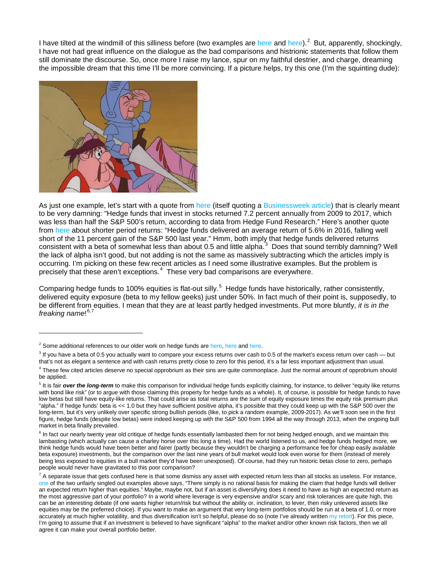I have tilted at the windmill of this silliness before (two examples are [here](https://www.aqr.com/Insights/Perspectives/Hedge-Funds-The-Somewhat-Tepid-Defense) and [here\)](https://www.bloomberg.com/view/articles/2016-05-12/hedging-on-the-case-against-hedge-funds).<sup>[2](#page-1-0)</sup> But, apparently, shockingly, I have not had great influence on the dialogue as the bad comparisons and histrionic statements that follow them still dominate the discourse. So, once more I raise my lance, spur on my faithful destrier, and charge, dreaming the impossible dream that this time I'll be more convincing. If a picture helps, try this one (I'm the squinting dude):



As just one example, let's start with a quote from [here](https://www.bloomberg.com/view/articles/2018-02-15/hedge-funds-underperform-yet-keep-attracting-pension-fund-money) (itself quoting a [Businessweek article\)](https://www.bloomberg.com/news/articles/2018-02-09/what-big-hedge-fund-fees-pay-for) that is clearly meant to be very damning: "Hedge funds that invest in stocks returned 7.2 percent annually from 2009 to 2017, which was less than half the S&P 500's return, according to data from Hedge Fund Research." Here's another quote from [here](https://www.ft.com/content/4b727f0a-f2dd-11e6-95ee-f14e55513608) about shorter period returns: "Hedge funds delivered an average return of 5.6% in 2016, falling well short of the 11 percent gain of the S&P 500 last year." Hmm, both imply that hedge funds delivered returns consistent with a beta of somewhat less than about 0.5 and little alpha.<sup>[3](#page-1-1)</sup> Does that sound terribly damning? Well the lack of alpha isn't good, but not adding is not the same as massively subtracting which the articles imply is occurring. I'm picking on these few recent articles as I need some illustrative examples. But the problem is precisely that these aren't exceptions.[4](#page-1-2) These very bad comparisons are everywhere.

Comparing hedge funds to 100% equities is flat-out silly.<sup>[5](#page-1-3)</sup> Hedge funds have historically, rather consistently, delivered equity exposure (beta to my fellow geeks) just under 50%. In fact much of their point is, supposedly, to be different from equities. I mean that they are at least partly hedged investments. Put more bluntly, *it is in the freaking name*! [6](#page-1-4),[7](#page-1-5)

-

<span id="page-1-0"></span> $2$  Some additional references to our older work on hedge funds ar[e here,](https://www.aqr.com/Insights/Research/Journal-Article/An-Alternative-Future-Part-I) [here](https://www.aqr.com/Insights/Research/Journal-Article/An-Alternative-Future-Part-II) and [here.](https://www.aqr.com/Insights/Perspectives/Hotel-California-You-Can-Never-Leave-Until-You-Are-Asked-To)

<span id="page-1-1"></span> $3$  If you have a beta of 0.5 you actually want to compare your excess returns over cash to 0.5 of the market's excess return over cash - but that's not as elegant a sentence and with cash returns pretty close to zero for this period, it's a far less important adjustment than usual.

<span id="page-1-2"></span><sup>&</sup>lt;sup>4</sup> These few cited articles deserve no special opprobrium as their sins are quite commonplace. Just the normal amount of opprobrium should be applied.

<span id="page-1-3"></span><sup>&</sup>lt;sup>5</sup> It is fair *over the long-term* to make this comparison for individual hedge funds explicitly claiming, for instance, to deliver "equity like returns with bond like risk" (or to argue with those claiming this property for hedge funds as a whole). It, of course, is possible for hedge funds to have low betas but still have equity-like returns. That could arise as total returns are the sum of equity exposure times the equity risk premium plus "alpha." If hedge funds' beta is << 1.0 but they have sufficient positive alpha, it's possible that they could keep up with the S&P 500 over the long-term, but it's very unlikely over specific strong bullish periods (like, to pick a random example, 2009-2017). As we'll soon see in the first figure, hedge funds (despite low betas) were indeed keeping up with the S&P 500 from 1994 all the way through 2013, when the ongoing bull market in beta finally prevailed.

<span id="page-1-4"></span> $6$  In fact our nearly twenty year old critique of hedge funds essentially lambasted them for not being hedged enough, and we maintain this lambasting (which actually can cause a charley horse over this long a time). Had the world listened to us, and hedge funds hedged more, we think hedge funds would have been better and fairer (partly because they wouldn't be charging a performance fee for cheap easily available beta exposure) investments, but the comparison over the last nine years of bull market would look even worse for them (instead of merely being less exposed to equities in a bull market they'd have been unexposed). Of course, had they run historic betas close to zero, perhaps people would never have gravitated to this poor comparison?

<span id="page-1-5"></span> $^7$  A separate issue that gets confused here is that some dismiss any asset with expected return less than all stocks as useless. For instance, [one](https://www.bloomberg.com/view/articles/2018-02-15/hedge-funds-underperform-yet-keep-attracting-pension-fund-money) of the two unfairly singled out examples above says, "There simply is no rational basis for making the claim that hedge funds will deliver an expected return higher than equities." Maybe, maybe not, but if an asset is diversifying does it need to have as high an expected return as the most aggressive part of your portfolio? In a world where leverage is very expensive and/or scary and risk tolerances are quite high, this can be an interesting debate (if one wants higher return/risk but without the ability or, inclination, to lever, then risky unlevered assets like equities may be the preferred choice). If you want to make an argument that very long-term portfolios should be run at a beta of 1.0, or more accurately at much higher volatility, and thus diversification isn't so helpful, please do so (note I've already writte[n my retort\)](https://www.aqr.com/Insights/Research/Journal-Article/Why-Not--Equities). For this piece, I'm going to assume that if an investment is believed to have significant "alpha" to the market and/or other known risk factors, then we all agree it can make your overall portfolio better.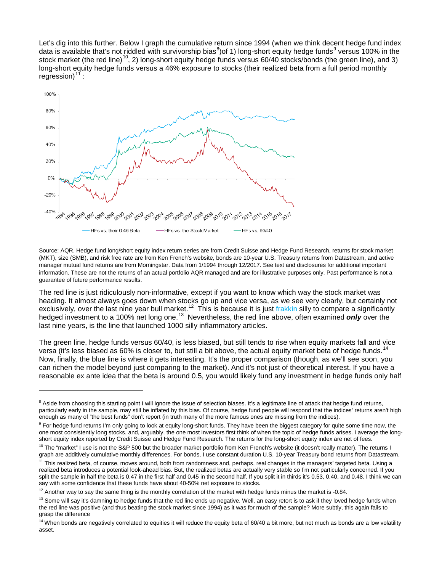Let's dig into this further. Below I graph the cumulative return since 1994 (when we think decent hedge fund index data is available that's not riddled with survivorship bias<sup>[8](#page-2-0)</sup>)of 1) long-short equity hedge funds<sup>[9](#page-2-1)</sup> versus 100% in the stock market (the red line)<sup>[10](#page-2-2)</sup>, 2) long-short equity hedge funds versus 60/40 stocks/bonds (the green line), and 3) long-short equity hedge funds versus a 46% exposure to stocks (their realized beta from a full period monthly regression) $1$ 



Source: AQR. Hedge fund long/short equity index return series are from Credit Suisse and Hedge Fund Research, returns for stock market (MKT), size (SMB), and risk free rate are from Ken French's website, bonds are 10-year U.S. Treasury returns from Datastream, and active manager mutual fund returns are from Morningstar. Data from 1/1994 through 12/2017. See text and disclosures for additional important information. These are not the returns of an actual portfolio AQR managed and are for illustrative purposes only. Past performance is not a guarantee of future performance results.

The red line is just ridiculously non-informative, except if you want to know which way the stock market was heading. It almost always goes down when stocks go up and vice versa, as we see very clearly, but certainly not exclusively, over the last nine year bull market.<sup>[12](#page-2-4)</sup> This is because it is just [frakkin](https://www.youtube.com/watch?v=cGGIZKLrgmA) silly to compare a significantly hedged investment to a 100% net long one.<sup>[13](#page-2-5)</sup> Nevertheless, the red line above, often examined *only* over the last nine years, is the line that launched 1000 silly inflammatory articles.

The green line, hedge funds versus 60/40, is less biased, but still tends to rise when equity markets fall and vice versa (it's less biased as 60% is closer to, but still a bit above, the actual equity market beta of hedge funds.<sup>[14](#page-2-6)</sup> Now, finally, the blue line is where it gets interesting. It's the proper comparison (though, as we'll see soon, you can richen the model beyond just comparing to the market). And it's not just of theoretical interest. If you have a reasonable ex ante idea that the beta is around 0.5, you would likely fund any investment in hedge funds only half

j

<span id="page-2-0"></span> $8$  Aside from choosing this starting point I will ignore the issue of selection biases. It's a legitimate line of attack that hedge fund returns, particularly early in the sample, may still be inflated by this bias. Of course, hedge fund people will respond that the indices' returns aren't high enough as many of "the best funds" don't report (in truth many of the more famous ones are missing from the indices).

<span id="page-2-1"></span><sup>&</sup>lt;sup>9</sup> For hedge fund returns I'm only going to look at equity long-short funds. They have been the biggest category for quite some time now, the one most consistently long stocks, and, arguably, the one most investors first think of when the topic of hedge funds arises. I average the longshort equity index reported by Credit Suisse and Hedge Fund Research. The returns for the long-short equity index are net of fees.

<span id="page-2-2"></span><sup>&</sup>lt;sup>10</sup> The "market" I use is not the S&P 500 but the broader market portfolio from Ken French's website (it doesn't really matter). The returns I graph are additively cumulative monthly differences. For bonds, I use constant duration U.S. 10-year Treasury bond returns from Datastream.

<span id="page-2-3"></span><sup>&</sup>lt;sup>11</sup> This realized beta, of course, moves around, both from randomness and, perhaps, real changes in the managers' targeted beta. Using a realized beta introduces a potential look-ahead bias. But, the realized betas are actually very stable so I'm not particularly concerned. If you split the sample in half the beta is 0.47 in the first half and 0.45 in the second half. If you split it in thirds it's 0.53, 0.40, and 0.48. I think we can say with some confidence that these funds have about 40-50% net exposure to stocks.

<span id="page-2-4"></span> $12$  Another way to say the same thing is the monthly correlation of the market with hedge funds minus the market is -0.84.

<span id="page-2-5"></span><sup>&</sup>lt;sup>13</sup> Some will say it's damning to hedge funds that the red line ends up negative. Well, an easy retort is to ask if they loved hedge funds when the red line was positive (and thus beating the stock market since 1994) as it was for much of the sample? More subtly, this again fails to grasp the difference

<span id="page-2-6"></span> $14$  When bonds are negatively correlated to equities it will reduce the equity beta of 60/40 a bit more, but not much as bonds are a low volatility asset.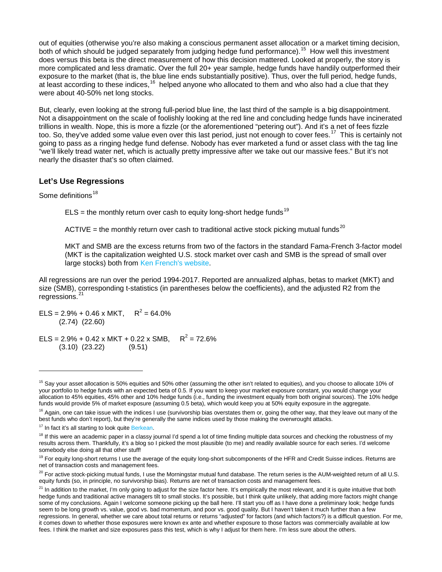out of equities (otherwise you're also making a conscious permanent asset allocation or a market timing decision, both of which should be judged separately from judging hedge fund performance).<sup>[15](#page-3-0)</sup> How well this investment does versus this beta is the direct measurement of how this decision mattered. Looked at properly, the story is more complicated and less dramatic. Over the full 20+ year sample, hedge funds have handily outperformed their exposure to the market (that is, the blue line ends substantially positive). Thus, over the full period, hedge funds, at least according to these indices,<sup>[16](#page-3-1)</sup> helped anyone who allocated to them and who also had a clue that they were about 40-50% net long stocks.

But, clearly, even looking at the strong full-period blue line, the last third of the sample is a big disappointment. Not a disappointment on the scale of foolishly looking at the red line and concluding hedge funds have incinerated trillions in wealth. Nope, this is more a fizzle (or the aforementioned "petering out"). And it's a net of fees fizzle too. So, they've added some value even over this last period, just not enough to cover fees.<sup>17</sup> This is certainly not going to pass as a ringing hedge fund defense. Nobody has ever marketed a fund or asset class with the tag line "we'll likely tread water net, which is actually pretty impressive after we take out our massive fees." But it's not nearly the disaster that's so often claimed.

#### **Let's Use Regressions**

Some definitions<sup>[18](#page-3-3)</sup>

-

 $ELS =$  the monthly return over cash to equity long-short hedge funds<sup>[19](#page-3-4)</sup>

ACTIVE = the monthly return over cash to traditional active stock picking mutual funds<sup>[20](#page-3-5)</sup>

MKT and SMB are the excess returns from two of the factors in the standard Fama-French 3-factor model (MKT is the capitalization weighted U.S. stock market over cash and SMB is the spread of small over large stocks) both from [Ken French's website.](http://mba.tuck.dartmouth.edu/pages/faculty/ken.french/data_library.html)

All regressions are run over the period 1994-2017. Reported are annualized alphas, betas to market (MKT) and size (SMB), corresponding t-statistics (in parentheses below the coefficients), and the adjusted R2 from the regressions.

ELS =  $2.9\% + 0.46 \times \text{MKT}$ ,  $R^2 = 64.0\%$ (2.74) (22.60)

ELS =  $2.9\% + 0.42 \times \text{MKT} + 0.22 \times \text{SMB}$ ,  $R^2 = 72.6\%$ (3.10) (23.22) (9.51)

<span id="page-3-0"></span><sup>&</sup>lt;sup>15</sup> Say your asset allocation is 50% equities and 50% other (assuming the other isn't related to equities), and you choose to allocate 10% of your portfolio to hedge funds with an expected beta of 0.5. If you want to keep your market exposure constant, you would change your allocation to 45% equities, 45% other and 10% hedge funds (i.e., funding the investment equally from both original sources). The 10% hedge funds would provide 5% of market exposure (assuming 0.5 beta), which would keep you at 50% equity exposure in the aggregate.

<span id="page-3-1"></span><sup>&</sup>lt;sup>16</sup> Again, one can take issue with the indices I use (survivorship bias overstates them or, going the other way, that they leave out many of the best funds who don't report), but they're generally the same indices used by those making the overwrought attacks.

<span id="page-3-2"></span><sup>&</sup>lt;sup>17</sup> In fact it's all starting to look quite [Berkean.](https://www.gsb.stanford.edu/insights/jonathan-berk-are-mutual-fund-managers-skilled-or-just-lucky)

<span id="page-3-3"></span> $18$  If this were an academic paper in a classy journal I'd spend a lot of time finding multiple data sources and checking the robustness of my results across them. Thankfully, it's a blog so I picked the most plausible (to me) and readily available source for each series. I'd welcome somebody else doing all that other stuff!

<span id="page-3-4"></span><sup>&</sup>lt;sup>19</sup> For equity long-short returns I use the average of the equity long-short subcomponents of the HFR and Credit Suisse indices. Returns are net of transaction costs and management fees.

<span id="page-3-5"></span> $^{20}$  For active stock-picking mutual funds, I use the Morningstar mutual fund database. The return series is the AUM-weighted return of all U.S. equity funds (so, in principle, no survivorship bias). Returns are net of transaction costs and management fees.

<span id="page-3-6"></span> $21$  In addition to the market, I'm only going to adjust for the size factor here. It's empirically the most relevant, and it is quite intuitive that both hedge funds and traditional active managers tilt to small stocks. It's possible, but I think quite unlikely, that adding more factors might change some of my conclusions. Again I welcome someone picking up the ball here. I'll start you off as I have done a preliminary look; hedge funds seem to be long growth vs. value, good vs. bad momentum, and poor vs. good quality. But I haven't taken it much further than a few regressions. In general, whether we care about total returns or returns "adjusted" for factors (and which factors?) is a difficult question. For me, it comes down to whether those exposures were known ex ante and whether exposure to those factors was commercially available at low fees. I think the market and size exposures pass this test, which is why I adjust for them here. I'm less sure about the others.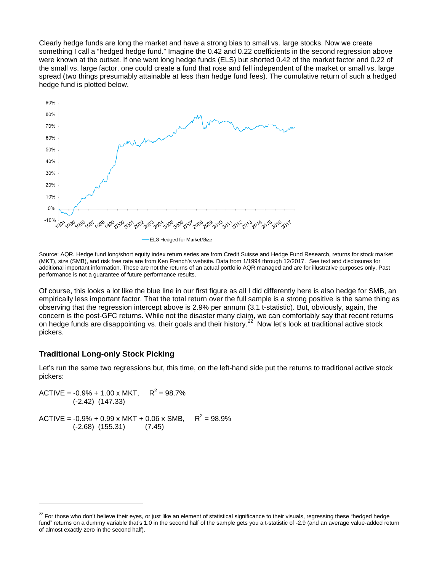Clearly hedge funds are long the market and have a strong bias to small vs. large stocks. Now we create something I call a "hedged hedge fund." Imagine the 0.42 and 0.22 coefficients in the second regression above were known at the outset. If one went long hedge funds (ELS) but shorted 0.42 of the market factor and 0.22 of the small vs. large factor, one could create a fund that rose and fell independent of the market or small vs. large spread (two things presumably attainable at less than hedge fund fees). The cumulative return of such a hedged hedge fund is plotted below.



Source: AQR. Hedge fund long/short equity index return series are from Credit Suisse and Hedge Fund Research, returns for stock market (MKT), size (SMB), and risk free rate are from Ken French's website. Data from 1/1994 through 12/2017. See text and disclosures for additional important information. These are not the returns of an actual portfolio AQR managed and are for illustrative purposes only. Past performance is not a guarantee of future performance results.

Of course, this looks a lot like the blue line in our first figure as all I did differently here is also hedge for SMB, an empirically less important factor. That the total return over the full sample is a strong positive is the same thing as observing that the regression intercept above is 2.9% per annum (3.1 t-statistic). But, obviously, again, the concern is the post-GFC returns. While not the disaster many claim, we can comfortably say that recent returns on hedge funds are disappointing vs. their goals and their history.<sup>22'</sup> Now let's look at traditional active stock pickers.

#### **Traditional Long-only Stock Picking**

j

Let's run the same two regressions but, this time, on the left-hand side put the returns to traditional active stock pickers:

ACTIVE =  $-0.9\% + 1.00 \times \text{MKT}$ ,  $R^2 = 98.7\%$  (-2.42) (147.33) ACTIVE =  $-0.9\% + 0.99 \times MKT + 0.06 \times SMB$ ,  $R^2 = 98.9\%$ (-2.68) (155.31) (7.45)

<span id="page-4-0"></span><sup>&</sup>lt;sup>22</sup> For those who don't believe their eyes, or just like an element of statistical significance to their visuals, regressing these "hedged hedge fund" returns on a dummy variable that's 1.0 in the second half of the sample gets you a t-statistic of -2.9 (and an average value-added return of almost exactly zero in the second half).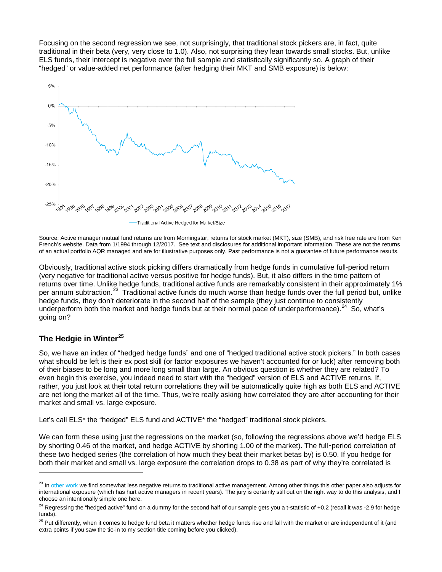Focusing on the second regression we see, not surprisingly, that traditional stock pickers are, in fact, quite traditional in their beta (very, very close to 1.0). Also, not surprising they lean towards small stocks. But, unlike ELS funds, their intercept is negative over the full sample and statistically significantly so. A graph of their "hedged" or value-added net performance (after hedging their MKT and SMB exposure) is below:



Source: Active manager mutual fund returns are from Morningstar, returns for stock market (MKT), size (SMB), and risk free rate are from Ken French's website. Data from 1/1994 through 12/2017. See text and disclosures for additional important information. These are not the returns of an actual portfolio AQR managed and are for illustrative purposes only. Past performance is not a guarantee of future performance results.

Obviously, traditional active stock picking differs dramatically from hedge funds in cumulative full-period return (very negative for traditional active versus positive for hedge funds). But, it also differs in the time pattern of returns over time. Unlike hedge funds, traditional active funds are remarkably consistent in their approximately 1% per annum subtraction.<sup>[23](#page-5-0)</sup> Traditional active funds do much worse than hedge funds over the full period but, unlike hedge funds, they don't deteriorate in the second half of the sample (they just continue to consistently underperform both the market and hedge funds but at their normal pace of underperformance).<sup>24</sup> So, what's going on?

## **The Hedgie in Winter[25](#page-5-2)**

j

So, we have an index of "hedged hedge funds" and one of "hedged traditional active stock pickers." In both cases what should be left is their ex post skill (or factor exposures we haven't accounted for or luck) after removing both of their biases to be long and more long small than large. An obvious question is whether they are related? To even begin this exercise, you indeed need to start with the "hedged" version of ELS and ACTIVE returns. If, rather, you just look at their total return correlations they will be automatically quite high as both ELS and ACTIVE are net long the market all of the time. Thus, we're really asking how correlated they are after accounting for their market and small vs. large exposure.

Let's call ELS\* the "hedged" ELS fund and ACTIVE\* the "hedged" traditional stock pickers.

We can form these using just the regressions on the market (so, following the regressions above we'd hedge ELS by shorting 0.46 of the market, and hedge ACTIVE by shorting 1.00 of the market). The full-period correlation of these two hedged series (the correlation of how much they beat their market betas by) is 0.50. If you hedge for both their market and small vs. large exposure the correlation drops to 0.38 as part of why they're correlated is

<span id="page-5-0"></span><sup>&</sup>lt;sup>23</sup> I[n other work](https://www.aqr.com/Insights/Research/Alternative-Thinking/Active-and-Passive-Investing-The-Long-Run-Evidence) we find somewhat less negative returns to traditional active management. Among other things this other paper also adjusts for international exposure (which has hurt active managers in recent years). The jury is certainly still out on the right way to do this analysis, and I choose an intentionally simple one here.

<span id="page-5-1"></span><sup>&</sup>lt;sup>24</sup> Regressing the "hedged active" fund on a dummy for the second half of our sample gets you a t-statistic of +0.2 (recall it was -2.9 for hedge funds).

<span id="page-5-2"></span><sup>&</sup>lt;sup>25</sup> Put differently, when it comes to hedge fund beta it matters whether hedge funds rise and fall with the market or are independent of it (and extra points if you saw the tie-in to my section title coming before you clicked).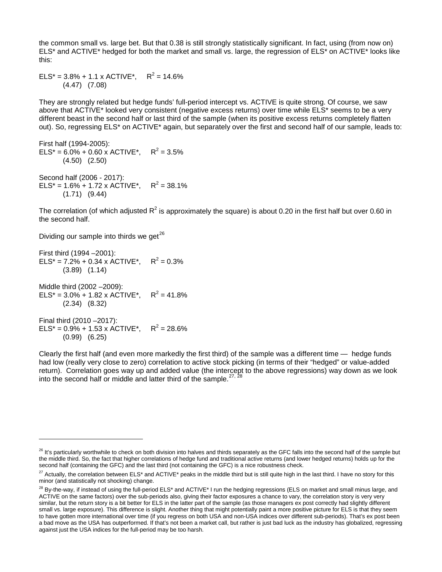the common small vs. large bet. But that 0.38 is still strongly statistically significant. In fact, using (from now on) ELS\* and ACTIVE\* hedged for both the market and small vs. large, the regression of ELS\* on ACTIVE\* looks like this:

ELS\* =  $3.8\%$  + 1.1 x ACTIVE\*, R<sup>2</sup> = 14.6% (4.47) (7.08)

They are strongly related but hedge funds' full-period intercept vs. ACTIVE is quite strong. Of course, we saw above that ACTIVE\* looked very consistent (negative excess returns) over time while ELS\* seems to be a very different beast in the second half or last third of the sample (when its positive excess returns completely flatten out). So, regressing ELS\* on ACTIVE\* again, but separately over the first and second half of our sample, leads to:

First half (1994-2005):  $ELS^* = 6.0\% + 0.60 \times ACTIVE^*$ ,  $R^2 = 3.5\%$  (4.50) (2.50) Second half (2006 - 2017): ELS\* =  $1.6\%$  +  $1.72$  x ACTIVE\*,  $R^2$  = 38.1%

(1.71) (9.44)

The correlation (of which adjusted  $R^2$  is approximately the square) is about 0.20 in the first half but over 0.60 in the second half.

Dividing our sample into thirds we get<sup>[26](#page-6-0)</sup>

-

First third (1994 –2001):  $ELS^* = 7.2\% + 0.34 \times ACTIVE^*$ ,  $R^2 = 0.3\%$  (3.89) (1.14) Middle third (2002 –2009): ELS\* =  $3.0\%$  + 1.82 x ACTIVE\*, R<sup>2</sup> = 41.8% (2.34) (8.32) Final third (2010 –2017): ELS\* =  $0.9\%$  + 1.53 x ACTIVE\*, R<sup>2</sup> = 28.6% (0.99) (6.25)

Clearly the first half (and even more markedly the first third) of the sample was a different time — hedge funds had low (really very close to zero) correlation to active stock picking (in terms of their "hedged" or value-added return). Correlation goes way up and added value (the intercept to the above regressions) way down as we look into the second half or middle and latter third of the sample.  $27, 28$  $27, 28$  $27, 28$ 

<span id="page-6-0"></span> $^{26}$  It's particularly worthwhile to check on both division into halves and thirds separately as the GFC falls into the second half of the sample but the middle third. So, the fact that higher correlations of hedge fund and traditional active returns (and lower hedged returns) holds up for the second half (containing the GFC) and the last third (not containing the GFC) is a nice robustness check.

<span id="page-6-1"></span><sup>&</sup>lt;sup>27</sup> Actually, the correlation between ELS<sup>\*</sup> and ACTIVE<sup>\*</sup> peaks in the middle third but is still quite high in the last third. I have no story for this minor (and statistically not shocking) change.

<span id="page-6-2"></span><sup>&</sup>lt;sup>28</sup> By-the-way, if instead of using the full-period ELS\* and ACTIVE\* I run the hedging regressions (ELS on market and small minus large, and ACTIVE on the same factors) over the sub-periods also, giving their factor exposures a chance to vary, the correlation story is very very similar, but the return story is a bit better for ELS in the latter part of the sample (as those managers ex post correctly had slightly different small vs. large exposure). This difference is slight. Another thing that might potentially paint a more positive picture for ELS is that they seem to have gotten more international over time (if you regress on both USA and non-USA indices over different sub-periods). That's ex post been a bad move as the USA has outperformed. If that's not been a market call, but rather is just bad luck as the industry has globalized, regressing against just the USA indices for the full-period may be too harsh.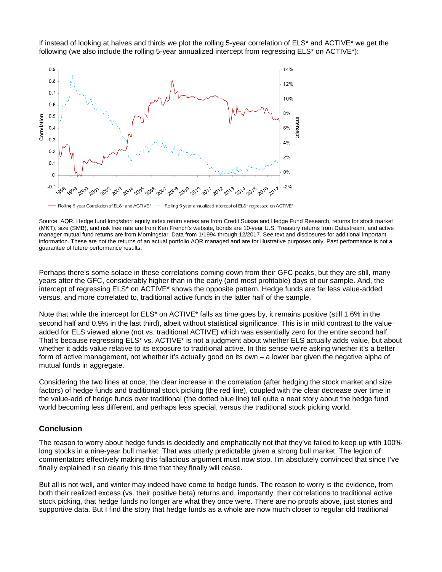



Rolling 5-year Correlation of ELS\* and ACTIVE\* Rolling 5-year annualized intercept of ELS\* regressed on ACTIVE\*

Source: AQR. Hedge fund long/short equity index return series are from Credit Suisse and Hedge Fund Research, returns for stock market (MKT), size (SMB), and risk free rate are from Ken French's website, bonds are 10-year U.S. Treasury returns from Datastream, and active manager mutual fund returns are from Morningstar. Data from 1/1994 through 12/2017. See text and disclosures for additional important information. These are not the returns of an actual portfolio AQR managed and are for illustrative purposes only. Past performance is not a guarantee of future performance results.

Perhaps there's some solace in these correlations coming down from their GFC peaks, but they are still, many years after the GFC, considerably higher than in the early (and most profitable) days of our sample. And, the intercept of regressing ELS\* on ACTIVE\* shows the opposite pattern. Hedge funds are far less value-added versus, and more correlated to, traditional active funds in the latter half of the sample.

Note that while the intercept for ELS<sup>\*</sup> on ACTIVE<sup>\*</sup> falls as time goes by, it remains positive (still 1.6% in the second half and 0.9% in the last third), albeit without statistical significance. This is in mild contrast to the valueadded for ELS viewed alone (not vs. traditional ACTIVE) which was essentially zero for the entire second half. That's because regressing ELS\* vs. ACTIVE\* is not a judgment about whether ELS actually adds value, but about whether it adds value relative to its exposure to traditional active. In this sense we're asking whether it's a better form of active management, not whether it's actually good on its own – a lower bar given the negative alpha of mutual funds in aggregate.

Considering the two lines at once, the clear increase in the correlation (after hedging the stock market and size factors) of hedge funds and traditional stock picking (the red line), coupled with the clear decrease over time in the value-add of hedge funds over traditional (the dotted blue line) tell quite a neat story about the hedge fund world becoming less different, and perhaps less special, versus the traditional stock picking world.

#### **Conclusion**

The reason to worry about hedge funds is decidedly and emphatically not that they've failed to keep up with 100% long stocks in a nine-year bull market. That was utterly predictable given a strong bull market. The legion of commentators effectively making this fallacious argument must now stop. I'm absolutely convinced that since I've finally explained it so clearly this time that they finally will cease.

But all is not well, and winter may indeed have come to hedge funds. The reason to worry is the evidence, from both their realized excess (vs. their positive beta) returns and, importantly, their correlations to traditional active stock picking, that hedge funds no longer are what they once were. There are no proofs above, just stories and supportive data. But I find the story that hedge funds as a whole are now much closer to regular old traditional